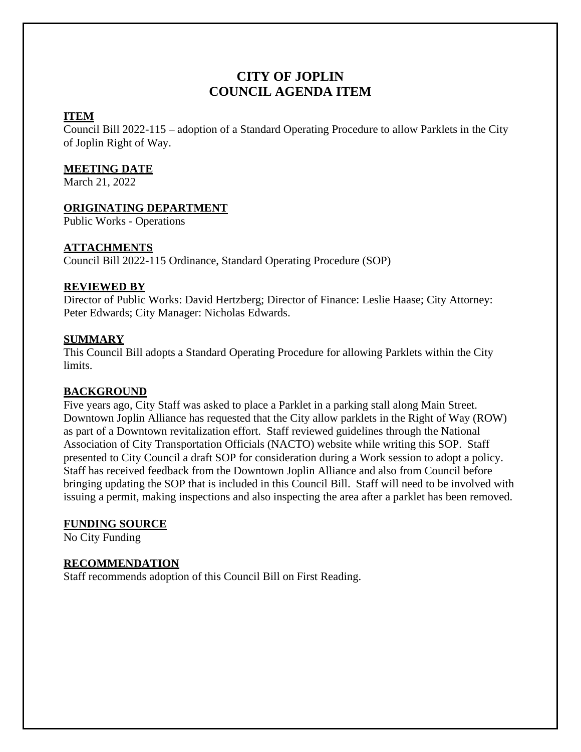# **CITY OF JOPLIN COUNCIL AGENDA ITEM**

#### **ITEM**

Council Bill 2022-115 – adoption of a Standard Operating Procedure to allow Parklets in the City of Joplin Right of Way.

#### **MEETING DATE**

March 21, 2022

## **ORIGINATING DEPARTMENT**

Public Works - Operations

## **ATTACHMENTS**

Council Bill 2022-115 Ordinance, Standard Operating Procedure (SOP)

## **REVIEWED BY**

Director of Public Works: David Hertzberg; Director of Finance: Leslie Haase; City Attorney: Peter Edwards; City Manager: Nicholas Edwards.

## **SUMMARY**

This Council Bill adopts a Standard Operating Procedure for allowing Parklets within the City limits.

## **BACKGROUND**

Five years ago, City Staff was asked to place a Parklet in a parking stall along Main Street. Downtown Joplin Alliance has requested that the City allow parklets in the Right of Way (ROW) as part of a Downtown revitalization effort. Staff reviewed guidelines through the National Association of City Transportation Officials (NACTO) website while writing this SOP. Staff presented to City Council a draft SOP for consideration during a Work session to adopt a policy. Staff has received feedback from the Downtown Joplin Alliance and also from Council before bringing updating the SOP that is included in this Council Bill. Staff will need to be involved with issuing a permit, making inspections and also inspecting the area after a parklet has been removed.

## **FUNDING SOURCE**

No City Funding

## **RECOMMENDATION**

Staff recommends adoption of this Council Bill on First Reading.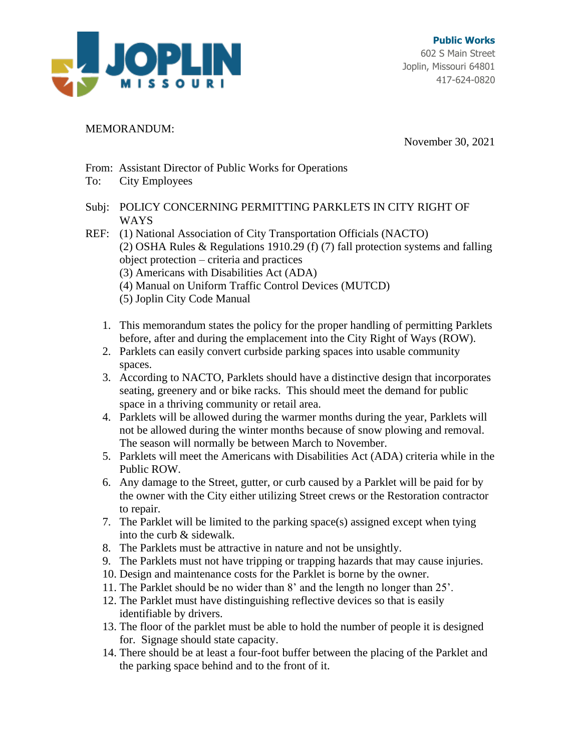

#### MEMORANDUM:

November 30, 2021

- From: Assistant Director of Public Works for Operations
- To: City Employees
- Subj: POLICY CONCERNING PERMITTING PARKLETS IN CITY RIGHT OF WAYS
- REF: (1) National Association of City Transportation Officials (NACTO) (2) OSHA Rules & Regulations 1910.29 (f) (7) fall protection systems and falling object protection – criteria and practices (3) Americans with Disabilities Act (ADA) (4) Manual on Uniform Traffic Control Devices (MUTCD)
	- (5) Joplin City Code Manual
	- 1. This memorandum states the policy for the proper handling of permitting Parklets before, after and during the emplacement into the City Right of Ways (ROW).
	- 2. Parklets can easily convert curbside parking spaces into usable community spaces.
	- 3. According to NACTO, Parklets should have a distinctive design that incorporates seating, greenery and or bike racks. This should meet the demand for public space in a thriving community or retail area.
	- 4. Parklets will be allowed during the warmer months during the year, Parklets will not be allowed during the winter months because of snow plowing and removal. The season will normally be between March to November.
	- 5. Parklets will meet the Americans with Disabilities Act (ADA) criteria while in the Public ROW.
	- 6. Any damage to the Street, gutter, or curb caused by a Parklet will be paid for by the owner with the City either utilizing Street crews or the Restoration contractor to repair.
	- 7. The Parklet will be limited to the parking space(s) assigned except when tying into the curb & sidewalk.
	- 8. The Parklets must be attractive in nature and not be unsightly.
	- 9. The Parklets must not have tripping or trapping hazards that may cause injuries.
	- 10. Design and maintenance costs for the Parklet is borne by the owner.
	- 11. The Parklet should be no wider than 8' and the length no longer than 25'.
	- 12. The Parklet must have distinguishing reflective devices so that is easily identifiable by drivers.
	- 13. The floor of the parklet must be able to hold the number of people it is designed for. Signage should state capacity.
	- 14. There should be at least a four-foot buffer between the placing of the Parklet and the parking space behind and to the front of it.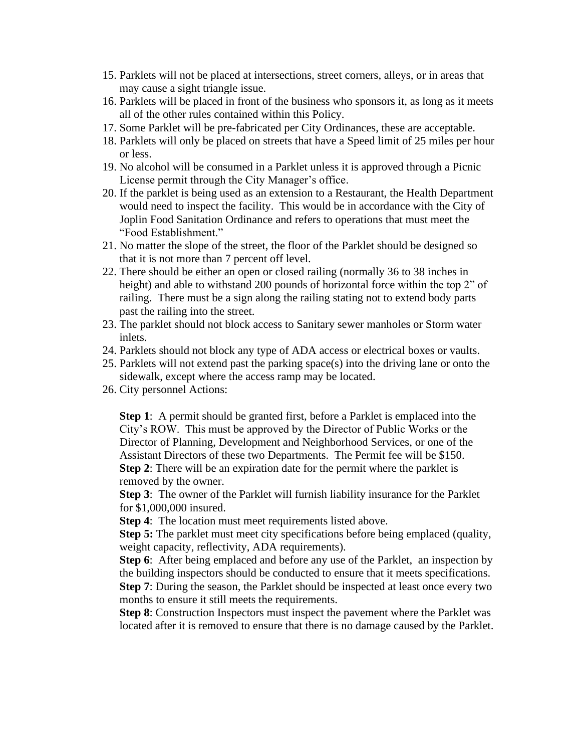- 15. Parklets will not be placed at intersections, street corners, alleys, or in areas that may cause a sight triangle issue.
- 16. Parklets will be placed in front of the business who sponsors it, as long as it meets all of the other rules contained within this Policy.
- 17. Some Parklet will be pre-fabricated per City Ordinances, these are acceptable.
- 18. Parklets will only be placed on streets that have a Speed limit of 25 miles per hour or less.
- 19. No alcohol will be consumed in a Parklet unless it is approved through a Picnic License permit through the City Manager's office.
- 20. If the parklet is being used as an extension to a Restaurant, the Health Department would need to inspect the facility. This would be in accordance with the City of Joplin Food Sanitation Ordinance and refers to operations that must meet the "Food Establishment."
- 21. No matter the slope of the street, the floor of the Parklet should be designed so that it is not more than 7 percent off level.
- 22. There should be either an open or closed railing (normally 36 to 38 inches in height) and able to withstand 200 pounds of horizontal force within the top 2" of railing. There must be a sign along the railing stating not to extend body parts past the railing into the street.
- 23. The parklet should not block access to Sanitary sewer manholes or Storm water inlets.
- 24. Parklets should not block any type of ADA access or electrical boxes or vaults.
- 25. Parklets will not extend past the parking space(s) into the driving lane or onto the sidewalk, except where the access ramp may be located.
- 26. City personnel Actions:

**Step 1**: A permit should be granted first, before a Parklet is emplaced into the City's ROW. This must be approved by the Director of Public Works or the Director of Planning, Development and Neighborhood Services, or one of the Assistant Directors of these two Departments. The Permit fee will be \$150. **Step 2**: There will be an expiration date for the permit where the parklet is removed by the owner.

**Step 3**: The owner of the Parklet will furnish liability insurance for the Parklet for \$1,000,000 insured.

**Step 4:** The location must meet requirements listed above.

**Step 5:** The parklet must meet city specifications before being emplaced (quality, weight capacity, reflectivity, ADA requirements).

**Step 6**: After being emplaced and before any use of the Parklet, an inspection by the building inspectors should be conducted to ensure that it meets specifications.

**Step 7**: During the season, the Parklet should be inspected at least once every two months to ensure it still meets the requirements.

**Step 8**: Construction Inspectors must inspect the pavement where the Parklet was located after it is removed to ensure that there is no damage caused by the Parklet.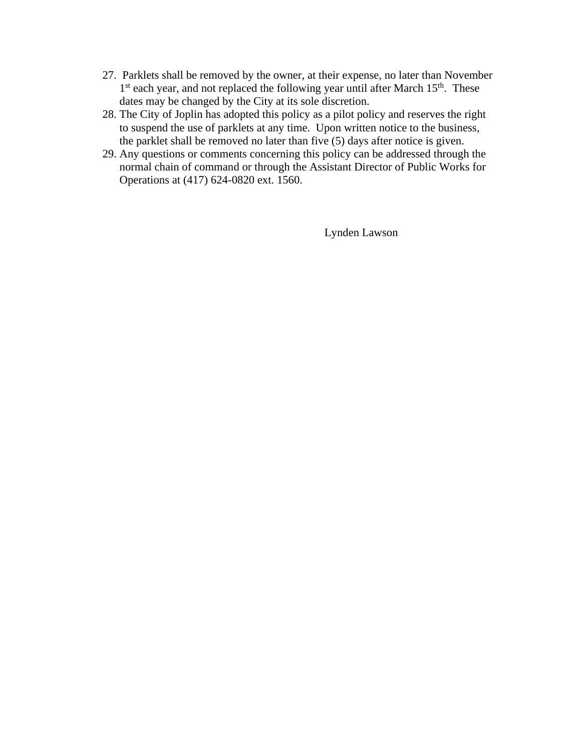- 27. Parklets shall be removed by the owner, at their expense, no later than November 1<sup>st</sup> each year, and not replaced the following year until after March 15<sup>th</sup>. These dates may be changed by the City at its sole discretion.
- 28. The City of Joplin has adopted this policy as a pilot policy and reserves the right to suspend the use of parklets at any time. Upon written notice to the business, the parklet shall be removed no later than five (5) days after notice is given.
- 29. Any questions or comments concerning this policy can be addressed through the normal chain of command or through the Assistant Director of Public Works for Operations at (417) 624-0820 ext. 1560.

Lynden Lawson